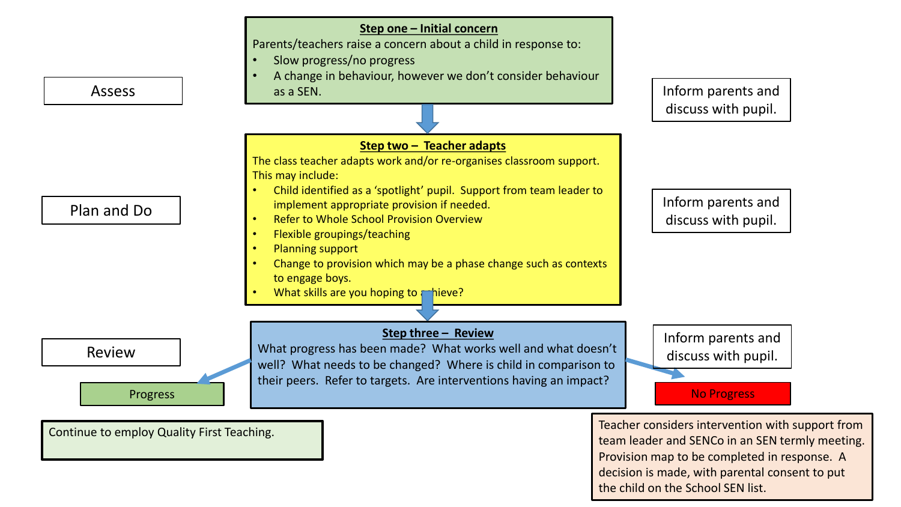